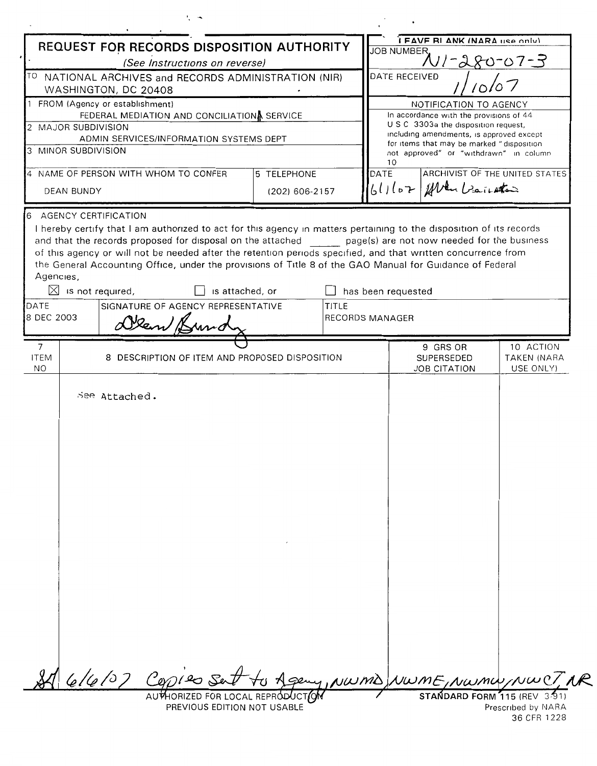| REQUEST FOR RECORDS DISPOSITION AUTHORITY                                                      |                                                                                                                                                                                                                                                                                                                                                                                                                                                                                                                                    |                |              | I FAVE RI ANK (NARA LISA ONIV)<br><b>JOB NUMBER</b>                                                                                   |                                               |                                       |
|------------------------------------------------------------------------------------------------|------------------------------------------------------------------------------------------------------------------------------------------------------------------------------------------------------------------------------------------------------------------------------------------------------------------------------------------------------------------------------------------------------------------------------------------------------------------------------------------------------------------------------------|----------------|--------------|---------------------------------------------------------------------------------------------------------------------------------------|-----------------------------------------------|---------------------------------------|
| (See Instructions on reverse)                                                                  |                                                                                                                                                                                                                                                                                                                                                                                                                                                                                                                                    |                |              | $N1 - 280 - 07 - 3$                                                                                                                   |                                               |                                       |
| TO NATIONAL ARCHIVES and RECORDS ADMINISTRATION (NIR)<br>WASHINGTON, DC 20408                  |                                                                                                                                                                                                                                                                                                                                                                                                                                                                                                                                    |                |              | DATE RECEIVED                                                                                                                         |                                               |                                       |
| 1 FROM (Agency or establishment)                                                               |                                                                                                                                                                                                                                                                                                                                                                                                                                                                                                                                    |                |              | NOTIFICATION TO AGENCY                                                                                                                |                                               |                                       |
| FEDERAL MEDIATION AND CONCILIATIONA SERVICE                                                    |                                                                                                                                                                                                                                                                                                                                                                                                                                                                                                                                    |                |              | In accordance with the provisions of 44<br>U S C 3303a the disposition request,                                                       |                                               |                                       |
| 2 MAJOR SUBDIVISION<br>ADMIN SERVICES/INFORMATION SYSTEMS DEPT                                 |                                                                                                                                                                                                                                                                                                                                                                                                                                                                                                                                    |                |              | including amendments, is approved except<br>for items that may be marked "disposition<br>not approved" or "withdrawn" in column<br>10 |                                               |                                       |
| 3 MINOR SUBDIVISION                                                                            |                                                                                                                                                                                                                                                                                                                                                                                                                                                                                                                                    |                |              |                                                                                                                                       |                                               |                                       |
| 4 NAME OF PERSON WITH WHOM TO CONFER<br>5 TELEPHONE                                            |                                                                                                                                                                                                                                                                                                                                                                                                                                                                                                                                    |                |              | ARCHIVIST OF THE UNITED STATES<br>DATE                                                                                                |                                               |                                       |
| <b>DEAN BUNDY</b>                                                                              |                                                                                                                                                                                                                                                                                                                                                                                                                                                                                                                                    | (202) 606-2157 |              |                                                                                                                                       | $61167$ for enter                             |                                       |
| <b>AGENCY CERTIFICATION</b><br>Agencies,<br>$\boxtimes$ is not required,<br>DATE<br>8 DEC 2003 | I hereby certify that I am authorized to act for this agency in matters pertaining to the disposition of its records<br>and that the records proposed for disposal on the attached page(s) are not now needed for the business<br>of this agency or will not be needed after the retention periods specified, and that written concurrence from<br>the General Accounting Office, under the provisions of Title 8 of the GAO Manual for Guidance of Federal<br>is attached, or<br>SIGNATURE OF AGENCY REPRESENTATIVE<br>Olen Brund |                | <b>TITLE</b> | has been requested<br><b>RECORDS MANAGER</b>                                                                                          |                                               |                                       |
|                                                                                                |                                                                                                                                                                                                                                                                                                                                                                                                                                                                                                                                    |                |              |                                                                                                                                       |                                               |                                       |
| $\overline{7}$<br><b>ITEM</b><br>NO.                                                           | 8 DESCRIPTION OF ITEM AND PROPOSED DISPOSITION                                                                                                                                                                                                                                                                                                                                                                                                                                                                                     |                |              |                                                                                                                                       | 9 GRS OR<br>SUPERSEDED<br><b>JOB CITATION</b> | 10 ACTION<br>TAKEN (NARA<br>USE ONLY) |
|                                                                                                | See Attached.                                                                                                                                                                                                                                                                                                                                                                                                                                                                                                                      |                |              |                                                                                                                                       |                                               |                                       |
|                                                                                                | $616107$ Cop120 Set                                                                                                                                                                                                                                                                                                                                                                                                                                                                                                                |                |              |                                                                                                                                       |                                               | Ageny, NWMD NWME, NWMW/NWCT, AR       |
|                                                                                                | AUTHORIZED FOR LOCAL REPRODUCTION<br>PREVIOUS EDITION NOT USABLE                                                                                                                                                                                                                                                                                                                                                                                                                                                                   |                |              | STANDARD FORM 115 (REV<br>Prescribed by NARA                                                                                          |                                               |                                       |

36 CFR 1228